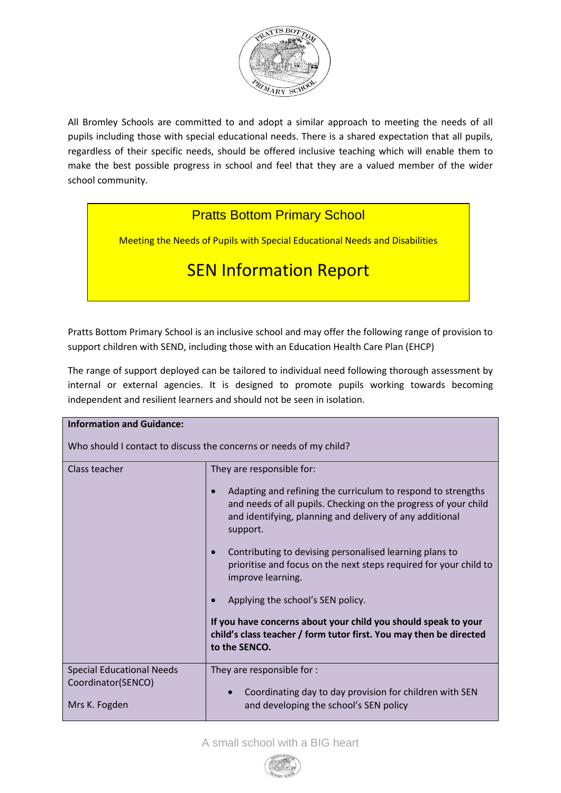

All Bromley Schools are committed to and adopt a similar approach to meeting the needs of all pupils including those with special educational needs. There is a shared expectation that all pupils, regardless of their specific needs, should be offered inclusive teaching which will enable them to make the best possible progress in school and feel that they are a valued member of the wider school community.

# **Pratts Bottom Primary School**

Meeting the Needs of Pupils with Special Educational Needs and Disabilities

# SEN Information Report

Pratts Bottom Primary School is an inclusive school and may offer the following range of provision to support children with SEND, including those with an Education Health Care Plan (EHCP)

The range of support deployed can be tailored to individual need following thorough assessment by internal or external agencies. It is designed to promote pupils working towards becoming independent and resilient learners and should not be seen in isolation.

| <b>Information and Guidance:</b>                                        |                                                                                                                                                                                                                                                                                                                                                                                                                                                                                                                                                                                         |  |  |
|-------------------------------------------------------------------------|-----------------------------------------------------------------------------------------------------------------------------------------------------------------------------------------------------------------------------------------------------------------------------------------------------------------------------------------------------------------------------------------------------------------------------------------------------------------------------------------------------------------------------------------------------------------------------------------|--|--|
| Who should I contact to discuss the concerns or needs of my child?      |                                                                                                                                                                                                                                                                                                                                                                                                                                                                                                                                                                                         |  |  |
| Class teacher                                                           | They are responsible for:<br>Adapting and refining the curriculum to respond to strengths<br>and needs of all pupils. Checking on the progress of your child<br>and identifying, planning and delivery of any additional<br>support.<br>Contributing to devising personalised learning plans to<br>prioritise and focus on the next steps required for your child to<br>improve learning.<br>Applying the school's SEN policy.<br>If you have concerns about your child you should speak to your<br>child's class teacher / form tutor first. You may then be directed<br>to the SENCO. |  |  |
| <b>Special Educational Needs</b><br>Coordinator(SENCO)<br>Mrs K. Fogden | They are responsible for :<br>Coordinating day to day provision for children with SEN<br>and developing the school's SEN policy                                                                                                                                                                                                                                                                                                                                                                                                                                                         |  |  |

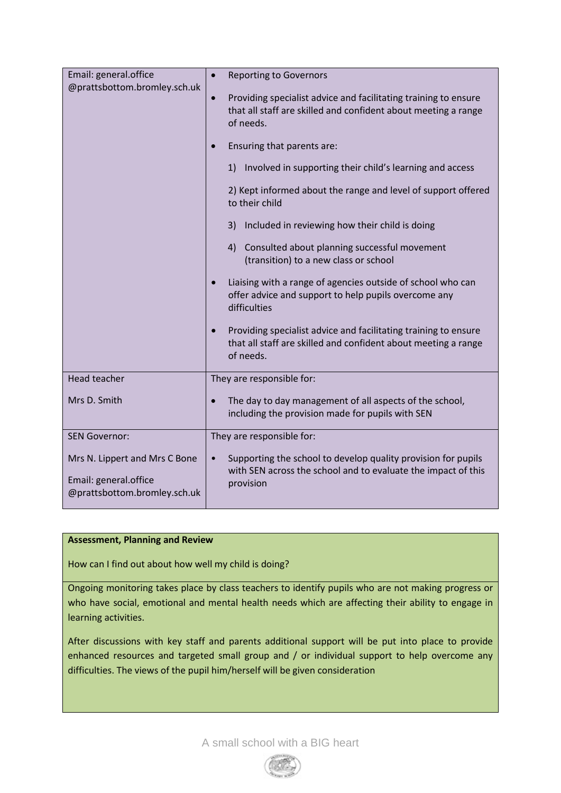| Email: general.office<br>@prattsbottom.bromley.sch.uk                                  | <b>Reporting to Governors</b><br>$\bullet$                                                                                                                  |
|----------------------------------------------------------------------------------------|-------------------------------------------------------------------------------------------------------------------------------------------------------------|
|                                                                                        | Providing specialist advice and facilitating training to ensure<br>$\bullet$<br>that all staff are skilled and confident about meeting a range<br>of needs. |
|                                                                                        | Ensuring that parents are:                                                                                                                                  |
|                                                                                        | 1) Involved in supporting their child's learning and access                                                                                                 |
|                                                                                        | 2) Kept informed about the range and level of support offered<br>to their child                                                                             |
|                                                                                        | Included in reviewing how their child is doing<br>3)                                                                                                        |
|                                                                                        | 4) Consulted about planning successful movement<br>(transition) to a new class or school                                                                    |
|                                                                                        | Liaising with a range of agencies outside of school who can<br>$\bullet$<br>offer advice and support to help pupils overcome any<br>difficulties            |
|                                                                                        | Providing specialist advice and facilitating training to ensure<br>$\bullet$<br>that all staff are skilled and confident about meeting a range<br>of needs. |
| <b>Head teacher</b>                                                                    | They are responsible for:                                                                                                                                   |
| Mrs D. Smith                                                                           | The day to day management of all aspects of the school,<br>$\bullet$<br>including the provision made for pupils with SEN                                    |
| <b>SEN Governor:</b>                                                                   | They are responsible for:                                                                                                                                   |
| Mrs N. Lippert and Mrs C Bone<br>Email: general.office<br>@prattsbottom.bromley.sch.uk | Supporting the school to develop quality provision for pupils<br>$\bullet$<br>with SEN across the school and to evaluate the impact of this<br>provision    |

# **Assessment, Planning and Review**

How can I find out about how well my child is doing?

Ongoing monitoring takes place by class teachers to identify pupils who are not making progress or who have social, emotional and mental health needs which are affecting their ability to engage in learning activities.

After discussions with key staff and parents additional support will be put into place to provide enhanced resources and targeted small group and / or individual support to help overcome any difficulties. The views of the pupil him/herself will be given consideration

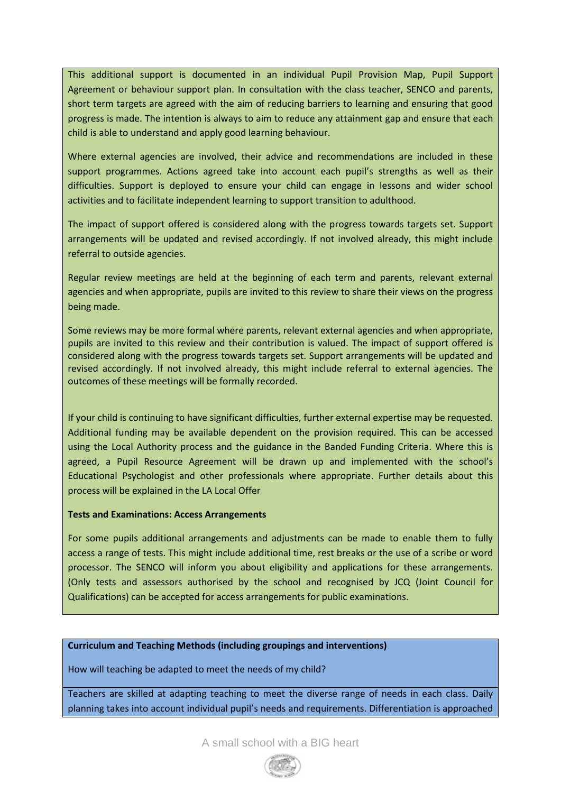This additional support is documented in an individual Pupil Provision Map, Pupil Support Agreement or behaviour support plan. In consultation with the class teacher, SENCO and parents, short term targets are agreed with the aim of reducing barriers to learning and ensuring that good progress is made. The intention is always to aim to reduce any attainment gap and ensure that each child is able to understand and apply good learning behaviour.

Where external agencies are involved, their advice and recommendations are included in these support programmes. Actions agreed take into account each pupil's strengths as well as their difficulties. Support is deployed to ensure your child can engage in lessons and wider school activities and to facilitate independent learning to support transition to adulthood.

The impact of support offered is considered along with the progress towards targets set. Support arrangements will be updated and revised accordingly. If not involved already, this might include referral to outside agencies.

Regular review meetings are held at the beginning of each term and parents, relevant external agencies and when appropriate, pupils are invited to this review to share their views on the progress being made.

Some reviews may be more formal where parents, relevant external agencies and when appropriate, pupils are invited to this review and their contribution is valued. The impact of support offered is considered along with the progress towards targets set. Support arrangements will be updated and revised accordingly. If not involved already, this might include referral to external agencies. The outcomes of these meetings will be formally recorded.

If your child is continuing to have significant difficulties, further external expertise may be requested. Additional funding may be available dependent on the provision required. This can be accessed using the Local Authority process and the guidance in the Banded Funding Criteria. Where this is agreed, a Pupil Resource Agreement will be drawn up and implemented with the school's Educational Psychologist and other professionals where appropriate. Further details about this process will be explained in the LA Local Offer

#### **Tests and Examinations: Access Arrangements**

For some pupils additional arrangements and adjustments can be made to enable them to fully access a range of tests. This might include additional time, rest breaks or the use of a scribe or word processor. The SENCO will inform you about eligibility and applications for these arrangements. (Only tests and assessors authorised by the school and recognised by JCQ (Joint Council for Qualifications) can be accepted for access arrangements for public examinations.

#### **Curriculum and Teaching Methods (including groupings and interventions)**

How will teaching be adapted to meet the needs of my child?

Teachers are skilled at adapting teaching to meet the diverse range of needs in each class. Daily planning takes into account individual pupil's needs and requirements. Differentiation is approached

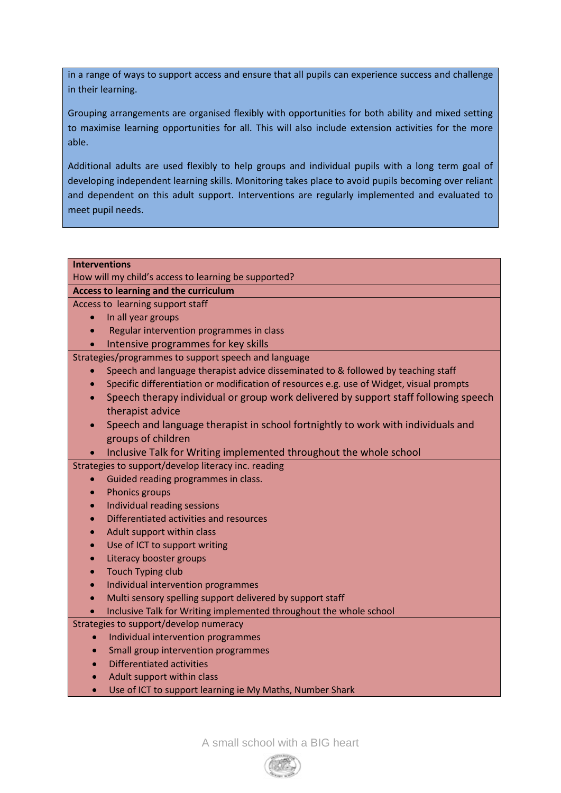in a range of ways to support access and ensure that all pupils can experience success and challenge in their learning.

Grouping arrangements are organised flexibly with opportunities for both ability and mixed setting to maximise learning opportunities for all. This will also include extension activities for the more able.

Additional adults are used flexibly to help groups and individual pupils with a long term goal of developing independent learning skills. Monitoring takes place to avoid pupils becoming over reliant and dependent on this adult support. Interventions are regularly implemented and evaluated to meet pupil needs.

# **Interventions**

How will my child's access to learning be supported?

# **Access to learning and the curriculum**

Access to learning support staff

- In all year groups
- Regular intervention programmes in class
	- Intensive programmes for key skills

Strategies/programmes to support speech and language

- Speech and language therapist advice disseminated to & followed by teaching staff
- Specific differentiation or modification of resources e.g. use of Widget, visual prompts
- Speech therapy individual or group work delivered by support staff following speech therapist advice
- Speech and language therapist in school fortnightly to work with individuals and groups of children
- Inclusive Talk for Writing implemented throughout the whole school

#### Strategies to support/develop literacy inc. reading

- Guided reading programmes in class.
- Phonics groups
- Individual reading sessions
- Differentiated activities and resources
- Adult support within class
- Use of ICT to support writing
- Literacy booster groups
- Touch Typing club
- Individual intervention programmes
- Multi sensory spelling support delivered by support staff
- Inclusive Talk for Writing implemented throughout the whole school

# Strategies to support/develop numeracy

- Individual intervention programmes
- Small group intervention programmes
- Differentiated activities
- Adult support within class
- Use of ICT to support learning ie My Maths, Number Shark

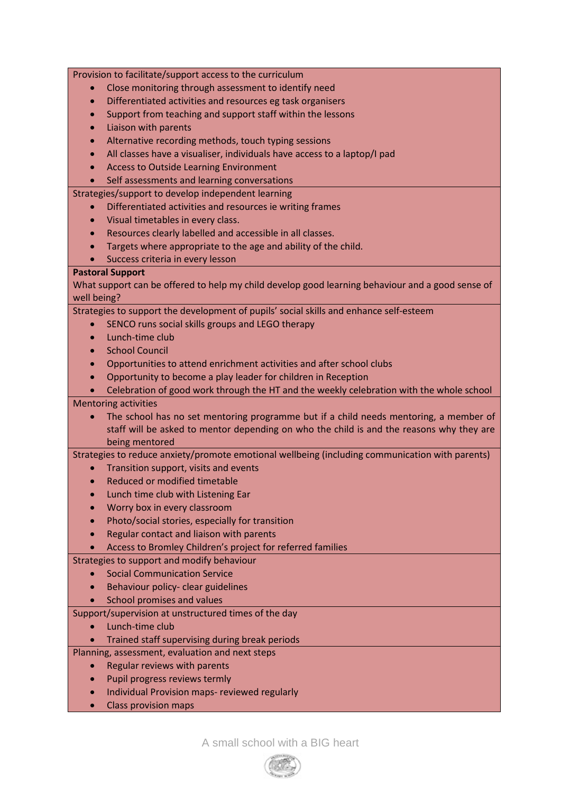|             | Provision to facilitate/support access to the curriculum                                         |
|-------------|--------------------------------------------------------------------------------------------------|
|             | Close monitoring through assessment to identify need                                             |
| $\bullet$   | Differentiated activities and resources eg task organisers                                       |
|             | Support from teaching and support staff within the lessons                                       |
|             | Liaison with parents                                                                             |
|             | Alternative recording methods, touch typing sessions                                             |
| $\bullet$   | All classes have a visualiser, individuals have access to a laptop/I pad                         |
|             | <b>Access to Outside Learning Environment</b>                                                    |
|             | Self assessments and learning conversations                                                      |
|             | Strategies/support to develop independent learning                                               |
|             | Differentiated activities and resources ie writing frames                                        |
| $\bullet$   | Visual timetables in every class.                                                                |
| $\bullet$   | Resources clearly labelled and accessible in all classes.                                        |
|             | Targets where appropriate to the age and ability of the child.                                   |
|             | Success criteria in every lesson                                                                 |
|             | <b>Pastoral Support</b>                                                                          |
|             | What support can be offered to help my child develop good learning behaviour and a good sense of |
| well being? |                                                                                                  |
|             | Strategies to support the development of pupils' social skills and enhance self-esteem           |
|             | SENCO runs social skills groups and LEGO therapy                                                 |
|             | Lunch-time club                                                                                  |
| $\bullet$   | <b>School Council</b>                                                                            |
|             | Opportunities to attend enrichment activities and after school clubs                             |
|             | Opportunity to become a play leader for children in Reception                                    |
|             | Celebration of good work through the HT and the weekly celebration with the whole school         |
|             | <b>Mentoring activities</b>                                                                      |
|             | The school has no set mentoring programme but if a child needs mentoring, a member of            |
|             | staff will be asked to mentor depending on who the child is and the reasons why they are         |
|             | being mentored                                                                                   |
|             | Strategies to reduce anxiety/promote emotional wellbeing (including communication with parents)  |
| $\bullet$   | Transition support, visits and events                                                            |
|             | Reduced or modified timetable                                                                    |
|             | Lunch time club with Listening Ear                                                               |
|             | Worry box in every classroom                                                                     |
|             | Photo/social stories, especially for transition                                                  |
|             | Regular contact and liaison with parents                                                         |
|             | Access to Bromley Children's project for referred families                                       |
|             | Strategies to support and modify behaviour                                                       |
|             | <b>Social Communication Service</b>                                                              |
|             | Behaviour policy- clear guidelines                                                               |
|             | School promises and values                                                                       |
|             | Support/supervision at unstructured times of the day                                             |
|             | Lunch-time club                                                                                  |
|             | Trained staff supervising during break periods                                                   |
|             | Planning, assessment, evaluation and next steps                                                  |
|             | Regular reviews with parents                                                                     |
|             | Pupil progress reviews termly                                                                    |
|             | Individual Provision maps- reviewed regularly                                                    |
|             |                                                                                                  |

• Class provision maps

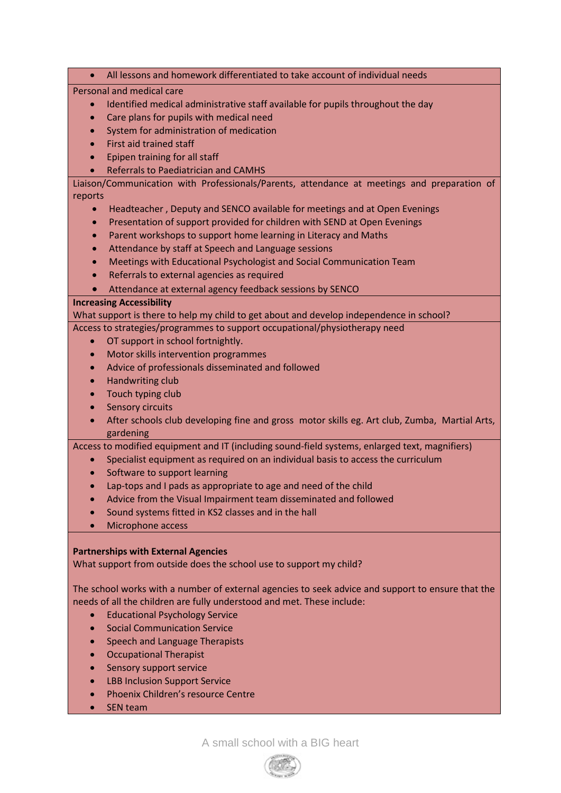All lessons and homework differentiated to take account of individual needs

Personal and medical care

- Identified medical administrative staff available for pupils throughout the day
- Care plans for pupils with medical need
- System for administration of medication
- First aid trained staff
- Epipen training for all staff
- Referrals to Paediatrician and CAMHS

Liaison/Communication with Professionals/Parents, attendance at meetings and preparation of reports

- Headteacher , Deputy and SENCO available for meetings and at Open Evenings
- Presentation of support provided for children with SEND at Open Evenings
- Parent workshops to support home learning in Literacy and Maths
- Attendance by staff at Speech and Language sessions
- Meetings with Educational Psychologist and Social Communication Team
- Referrals to external agencies as required
- Attendance at external agency feedback sessions by SENCO

#### **Increasing Accessibility**

What support is there to help my child to get about and develop independence in school?

- Access to strategies/programmes to support occupational/physiotherapy need
	- OT support in school fortnightly.
	- Motor skills intervention programmes
	- Advice of professionals disseminated and followed
	- Handwriting club
	- Touch typing club
	- Sensory circuits
	- After schools club developing fine and gross motor skills eg. Art club, Zumba, Martial Arts, gardening

Access to modified equipment and IT (including sound-field systems, enlarged text, magnifiers)

- Specialist equipment as required on an individual basis to access the curriculum
- Software to support learning
- Lap-tops and I pads as appropriate to age and need of the child
- Advice from the Visual Impairment team disseminated and followed
- Sound systems fitted in KS2 classes and in the hall
- Microphone access

# **Partnerships with External Agencies**

What support from outside does the school use to support my child?

The school works with a number of external agencies to seek advice and support to ensure that the needs of all the children are fully understood and met. These include:

- **•** Educational Psychology Service
- Social Communication Service
- Speech and Language Therapists
- Occupational Therapist
- Sensory support service
- LBB Inclusion Support Service
- Phoenix Children's resource Centre
- SEN team

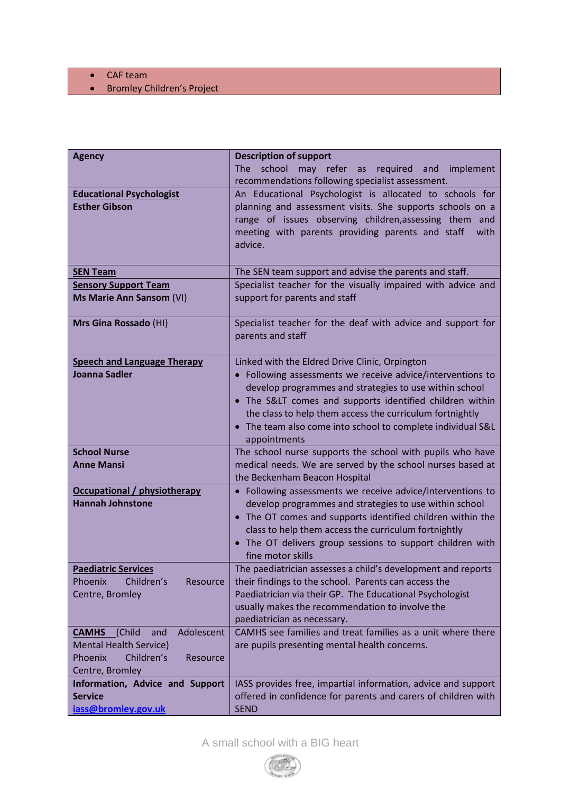- CAF team
- Bromley Children's Project

| <b>Agency</b>                                           | <b>Description of support</b>                                 |
|---------------------------------------------------------|---------------------------------------------------------------|
|                                                         | The<br>school may refer as required and<br>implement          |
|                                                         | recommendations following specialist assessment.              |
|                                                         | An Educational Psychologist is allocated to schools for       |
| <b>Educational Psychologist</b><br><b>Esther Gibson</b> | planning and assessment visits. She supports schools on a     |
|                                                         | range of issues observing children, assessing them and        |
|                                                         | meeting with parents providing parents and staff<br>with      |
|                                                         | advice.                                                       |
|                                                         |                                                               |
| <b>SEN Team</b>                                         | The SEN team support and advise the parents and staff.        |
| <b>Sensory Support Team</b>                             | Specialist teacher for the visually impaired with advice and  |
| Ms Marie Ann Sansom (VI)                                | support for parents and staff                                 |
|                                                         |                                                               |
| Mrs Gina Rossado (HI)                                   | Specialist teacher for the deaf with advice and support for   |
|                                                         | parents and staff                                             |
|                                                         |                                                               |
| <b>Speech and Language Therapy</b>                      | Linked with the Eldred Drive Clinic, Orpington                |
| <b>Joanna Sadler</b>                                    | • Following assessments we receive advice/interventions to    |
|                                                         | develop programmes and strategies to use within school        |
|                                                         | • The S< comes and supports identified children within        |
|                                                         | the class to help them access the curriculum fortnightly      |
|                                                         | • The team also come into school to complete individual S&L   |
|                                                         | appointments                                                  |
| <b>School Nurse</b>                                     | The school nurse supports the school with pupils who have     |
| <b>Anne Mansi</b>                                       | medical needs. We are served by the school nurses based at    |
|                                                         | the Beckenham Beacon Hospital                                 |
| <b>Occupational / physiotherapy</b>                     | • Following assessments we receive advice/interventions to    |
| <b>Hannah Johnstone</b>                                 | develop programmes and strategies to use within school        |
|                                                         | • The OT comes and supports identified children within the    |
|                                                         | class to help them access the curriculum fortnightly          |
|                                                         | • The OT delivers group sessions to support children with     |
|                                                         | fine motor skills                                             |
| <b>Paediatric Services</b>                              | The paediatrician assesses a child's development and reports  |
| Children's<br><b>Phoenix</b><br>Resource                | their findings to the school. Parents can access the          |
| Centre, Bromley                                         | Paediatrician via their GP. The Educational Psychologist      |
|                                                         | usually makes the recommendation to involve the               |
|                                                         | paediatrician as necessary.                                   |
| Adolescent<br>(Child<br><b>CAMHS</b><br>and             | CAMHS see families and treat families as a unit where there   |
| <b>Mental Health Service)</b>                           | are pupils presenting mental health concerns.                 |
| Children's<br><b>Phoenix</b><br>Resource                |                                                               |
| Centre, Bromley                                         |                                                               |
| Information, Advice and Support                         | IASS provides free, impartial information, advice and support |
| <b>Service</b>                                          | offered in confidence for parents and carers of children with |
| iass@bromley.gov.uk                                     | <b>SEND</b>                                                   |

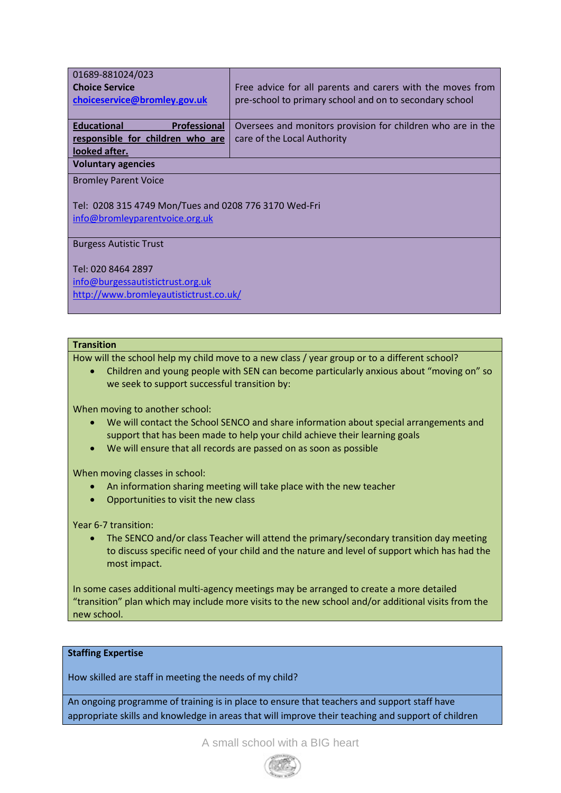| 01689-881024/023                                      |                                                             |  |  |
|-------------------------------------------------------|-------------------------------------------------------------|--|--|
| <b>Choice Service</b>                                 | Free advice for all parents and carers with the moves from  |  |  |
| choiceservice@bromley.gov.uk                          | pre-school to primary school and on to secondary school     |  |  |
|                                                       |                                                             |  |  |
| <b>Educational</b><br>Professional                    | Oversees and monitors provision for children who are in the |  |  |
| responsible for children who are                      | care of the Local Authority                                 |  |  |
| looked after.                                         |                                                             |  |  |
| <b>Voluntary agencies</b>                             |                                                             |  |  |
| <b>Bromley Parent Voice</b>                           |                                                             |  |  |
|                                                       |                                                             |  |  |
| Tel: 0208 315 4749 Mon/Tues and 0208 776 3170 Wed-Fri |                                                             |  |  |
| info@bromleyparentvoice.org.uk                        |                                                             |  |  |
|                                                       |                                                             |  |  |
| <b>Burgess Autistic Trust</b>                         |                                                             |  |  |

Tel: 020 8464 2897

[info@burgessautistictrust.org.uk](mailto:info@burgessautistictrust.org.uk?subject=This%20email%20came%20via%20Netmums.com&body=%0A%0A%0A%0A---------%0AThis%20email%20came%20via%20Netmums.com) <http://www.bromleyautistictrust.co.uk/>

# **Transition**

How will the school help my child move to a new class / year group or to a different school?

 Children and young people with SEN can become particularly anxious about "moving on" so we seek to support successful transition by:

When moving to another school:

- We will contact the School SENCO and share information about special arrangements and support that has been made to help your child achieve their learning goals
- We will ensure that all records are passed on as soon as possible

When moving classes in school:

- An information sharing meeting will take place with the new teacher
- Opportunities to visit the new class

Year 6-7 transition:

• The SENCO and/or class Teacher will attend the primary/secondary transition day meeting to discuss specific need of your child and the nature and level of support which has had the most impact.

In some cases additional multi-agency meetings may be arranged to create a more detailed "transition" plan which may include more visits to the new school and/or additional visits from the new school.

#### **Staffing Expertise**

How skilled are staff in meeting the needs of my child?

An ongoing programme of training is in place to ensure that teachers and support staff have appropriate skills and knowledge in areas that will improve their teaching and support of children

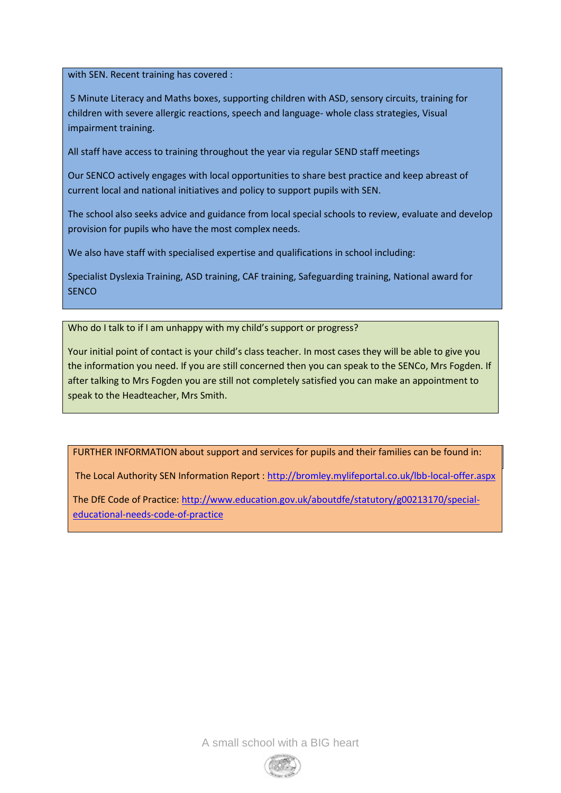with SEN. Recent training has covered :

5 Minute Literacy and Maths boxes, supporting children with ASD, sensory circuits, training for children with severe allergic reactions, speech and language- whole class strategies, Visual impairment training.

All staff have access to training throughout the year via regular SEND staff meetings

Our SENCO actively engages with local opportunities to share best practice and keep abreast of current local and national initiatives and policy to support pupils with SEN.

The school also seeks advice and guidance from local special schools to review, evaluate and develop provision for pupils who have the most complex needs.

We also have staff with specialised expertise and qualifications in school including:

Specialist Dyslexia Training, ASD training, CAF training, Safeguarding training, National award for **SENCO** 

Who do I talk to if I am unhappy with my child's support or progress?

Your initial point of contact is your child's class teacher. In most cases they will be able to give you the information you need. If you are still concerned then you can speak to the SENCo, Mrs Fogden. If after talking to Mrs Fogden you are still not completely satisfied you can make an appointment to speak to the Headteacher, Mrs Smith.

FURTHER INFORMATION about support and services for pupils and their families can be found in:

The Local Authority SEN Information Report [: http://bromley.mylifeportal.co.uk/lbb-local-offer.aspx](http://bromley.mylifeportal.co.uk/lbb-local-offer.aspx)

The DfE Code of Practice: http://www.education.gov.uk/aboutdfe/statutory/g00213170/special-Bromley Partnership: http://www.bromley.gov.uk/info/8/special\_needs/64/partnership: http://www.bromley.gov.uk/i<br>Distributional\_needs/64/partnership://www.bromley.com/64/partnership://www.bromley.com/64/partnership://www.br [educational-needs-code-of-practice](http://www.education.gov.uk/aboutdfe/statutory/g00213170/special-educational-needs-code-of-practice)